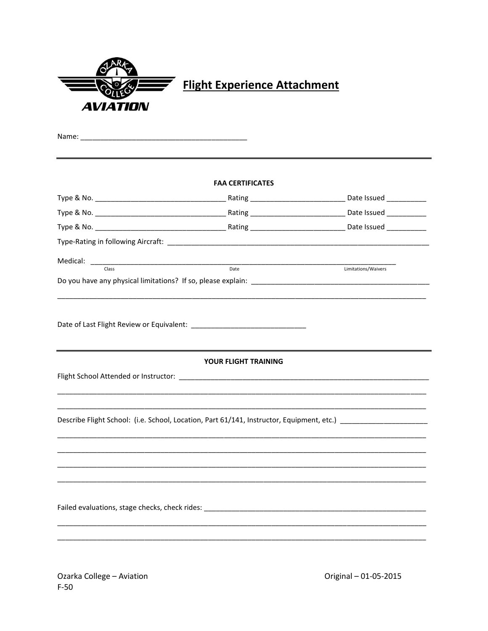|                        | <b>Flight Experience Attachment</b>                                                                                                                                                                                            |                     |
|------------------------|--------------------------------------------------------------------------------------------------------------------------------------------------------------------------------------------------------------------------------|---------------------|
| <i><b>AVIATION</b></i> |                                                                                                                                                                                                                                |                     |
|                        |                                                                                                                                                                                                                                |                     |
|                        |                                                                                                                                                                                                                                |                     |
|                        |                                                                                                                                                                                                                                |                     |
|                        | <b>FAA CERTIFICATES</b>                                                                                                                                                                                                        |                     |
|                        |                                                                                                                                                                                                                                |                     |
|                        |                                                                                                                                                                                                                                |                     |
|                        |                                                                                                                                                                                                                                |                     |
|                        |                                                                                                                                                                                                                                |                     |
|                        |                                                                                                                                                                                                                                |                     |
| Class                  | Date                                                                                                                                                                                                                           | Limitations/Waivers |
|                        |                                                                                                                                                                                                                                |                     |
|                        | <b>YOUR FLIGHT TRAINING</b>                                                                                                                                                                                                    |                     |
|                        | Flight School Attended or Instructor: Law Process and Contract and Contract and Contract and Contract and Contract and Contract and Contract and Contract and Contract and Contract and Contract and Contract and Contract and |                     |
|                        |                                                                                                                                                                                                                                |                     |
|                        | Describe Flight School: (i.e. School, Location, Part 61/141, Instructor, Equipment, etc.) ____________________                                                                                                                 |                     |
|                        |                                                                                                                                                                                                                                |                     |
|                        |                                                                                                                                                                                                                                |                     |
|                        |                                                                                                                                                                                                                                |                     |
|                        |                                                                                                                                                                                                                                |                     |
|                        |                                                                                                                                                                                                                                |                     |
|                        |                                                                                                                                                                                                                                |                     |
|                        |                                                                                                                                                                                                                                |                     |
|                        |                                                                                                                                                                                                                                |                     |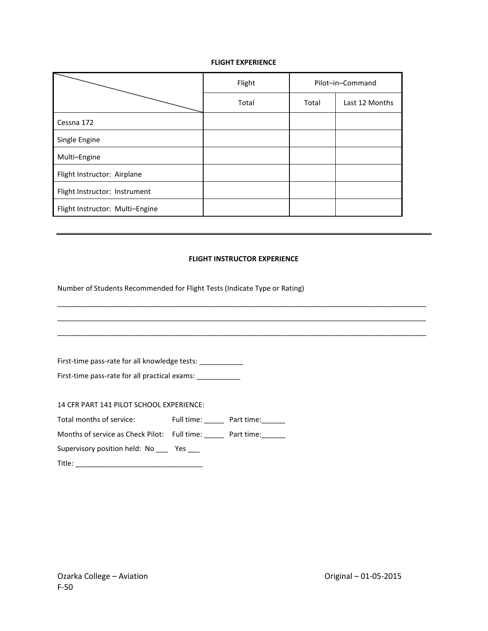## **FLIGHT EXPERIENCE**

|                                 | Flight | Pilot-in-Command |                |
|---------------------------------|--------|------------------|----------------|
|                                 | Total  | Total            | Last 12 Months |
| Cessna 172                      |        |                  |                |
| Single Engine                   |        |                  |                |
| Multi-Engine                    |        |                  |                |
| Flight Instructor: Airplane     |        |                  |                |
| Flight Instructor: Instrument   |        |                  |                |
| Flight Instructor: Multi-Engine |        |                  |                |

## **FLIGHT INSTRUCTOR EXPERIENCE**

Number of Students Recommended for Flight Tests (Indicate Type or Rating)

| First-time pass-rate for all knowledge tests: __________________________________ |  |
|----------------------------------------------------------------------------------|--|
| First-time pass-rate for all practical exams:                                    |  |
|                                                                                  |  |
| 14 CFR PART 141 PILOT SCHOOL EXPERIENCE:                                         |  |
| Total months of service: Full time: Part time:                                   |  |
| Months of service as Check Pilot: Full time: Part time:                          |  |
| Supervisory position held: No ______ Yes ____                                    |  |
|                                                                                  |  |
|                                                                                  |  |